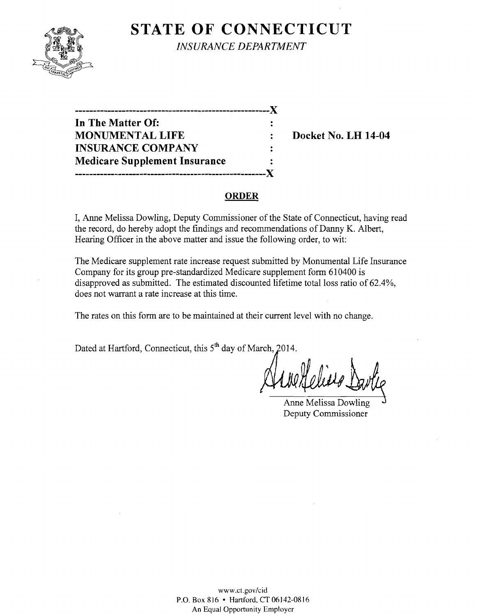

**STATE OF CONNECTICUT** 

*INSURANCE DEPARTMENT* 

| -------------------------------      | X.                   |
|--------------------------------------|----------------------|
| In The Matter Of:                    |                      |
| <b>MONUMENTAL LIFE</b>               |                      |
| <b>INSURANCE COMPANY</b>             |                      |
| <b>Medicare Supplement Insurance</b> | $\ddot{\phantom{a}}$ |
| ---------------                      |                      |

**Docket No. LH 14-04** 

## **ORDER**

I, Anne Melissa Dowling, Deputy Commissioner of the State of Connecticut, having read the record, do hereby adopt the findings and recommendations of Danny K. Albert, Hearing Officer in the above matter and issue the following order, to wit:

The Medicare supplement rate increase request submitted by Monumental Life Insurance Company for its group pre-standardized Medicare supplement form 610400 is disapproved as submitted. The estimated discounted lifetime total loss ratio of 62.4%, does not warrant a rate increase at this time.

The rates on this form are to be maintained at their current level with no change.

Dated at Hartford, Connecticut, this 5<sup>th</sup> day of March, 2014.

Deputy Commissioner Anne Melissa Dowling

www.ct.gov/cid P.O. Box 816 • Hartford, CT 06142-0816 An Equal Opportunity Employer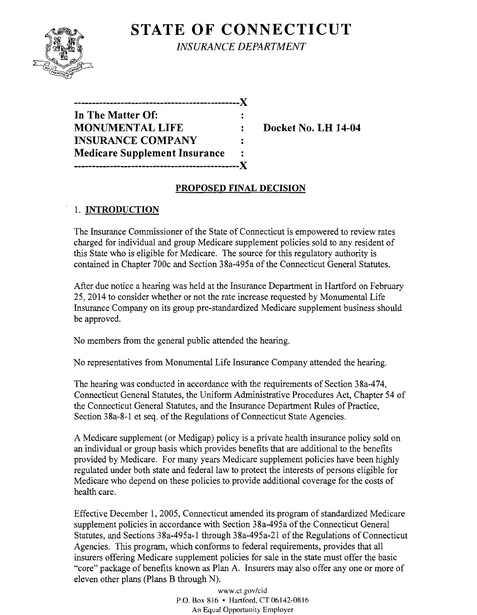

**STATE OF CONNECTICUT** *INSURANCE DEPARTMENT* 

| . <b>.</b> .                         |  |
|--------------------------------------|--|
| In The Matter Of:                    |  |
| <b>MONUMENTAL LIFE</b>               |  |
| <b>INSURANCE COMPANY</b>             |  |
| <b>Medicare Supplement Insurance</b> |  |
| ------------------------             |  |

**Docket No. LH 14-04** 

## **PROPOSED FINAL DECISION**

# 1. **INTRODUCTION**

The Insurance Commissioner of the State of Connecticut is empowered to review rates charged for individual and group Medicare supplement policies sold to any resident of this State who is eligible for Medicare. The source for this regulatory authority is contained in Chapter 700c and Section 38a-495a of the Connecticut General Statutes.

After due notice a hearing was held at the Insurance Department in Hartford on February 25,2014 to consider whether or not the rate increase requested by Monumental Life Insurance Company on its group pre-standardized Medicare supplement business should be approved.

No members from the general public attended the hearing.

No representatives from Monumental Life Insurance Company attended the hearing.

The hearing was conducted in accordance with the requirements of Section 38a-474, Connecticut General Statutes, the Uniform Administrative Procedures Act, Chapter 54 of the Connecticut General Statutes, and the Insurance Department Rules of Practice, Section 38a-8-1 et seq. of the Regulations of Connecticut State Agencies.

A Medicare supplement (or Medigap) policy is a private health insurance policy sold on an individual or group basis which provides benefits that are additional to the benefits provided by Medicare. For many years Medicare supplement policies have been highly regulated under both state and federal law to protect the interests of persons eligible for Medicare who depend on these policies to provide additional coverage for the costs of health care.

Effective December I, 2005, Connecticut amended its program of standardized Medicare supplement policies in accordance with Section 38a-495a of the Connecticut General Statutes, and Sections 38a-495a-1 through 38a-495a-21 of the Regulations of Connecticut Agencies. This program, which conforms to federal requirements, provides that all insurers offering Medicare supplement policies for sale in the state must offer the basic "core" package of benefits known as Plan A. Insurers may also offer anyone or more of eleven other plans (Plans B through N).

> www.ct.gov/cid P.O. Box 816 • Hartford, CT06142-0816 An Equal Opportunity Employer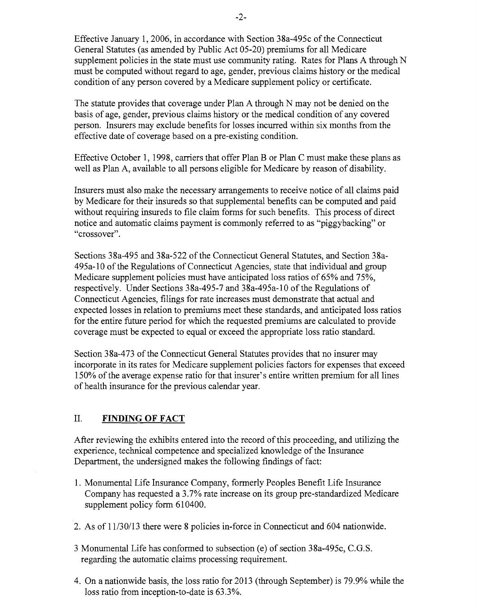Effective January 1,2006, in accordance with Section 38a-495c of the Connecticut General Statutes (as amended by Public Act 05-20) premiums for all Medicare supplement policies in the state must use community rating. Rates for Plans A through N must be computed without regard to age, gender, previous claims history or the medical condition of any person covered by a Medicare supplement policy or certificate.

The statute provides that coverage under Plan A through N may not be denied on the basis of age, gender, previous claims history or the medical condition of any covered person. Insurers may exclude benefits for losses incurred within six months from the effective date of coverage based on a pre-existing condition.

Effective October 1, 1998, carriers that offer Plan B or Plan C must make these plans as well as Plan A, available to all persons eligible for Medicare by reason of disability.

Insurers must also make the necessary arrangements to receive notice of all claims paid by Medicare for their insureds so that supplemental benefits can be computed and paid without requiring insureds to file claim forms for such benefits. This process of direct notice and automatic claims payment is commonly referred to as "piggybacking" or "crossover".

Sections 38a-495 and 38a-522 of the Connecticut General Statutes, and Section 38a-495a-10 of the Regulations of Connecticut Agencies, state that individual and group Medicare supplement policies must have anticipated loss ratios of 65% and 75%, respectively. Under Sections 38a-495-7 and 38a-495a-10 of the Regulations of Connecticut Agencies, filings for rate increases must demonstrate that actual and expected losses in relation to premiums meet these standards, and anticipated loss ratios for the entire future period for which the requested premiums are calculated to provide coverage must be expected to equal or exceed the appropriate loss ratio standard.

Section 38a-473 of the Connecticut General Statutes provides that no insurer may incorporate in its rates for Medicare supplement policies factors for expenses that exceed 150% ofthe average expense ratio for that insurer's entire written premium for all lines of health insurance for the previous calendar year.

### II. **FINDING OF FACT**

After reviewing the exhibits entered into the record of this proceeding, and utilizing the experience, technical competence and specialized knowledge of the Insurance Department, the undersigned makes the following findings of fact:

- 1. Monumental Life Insurance Company, formerly Peoples Benefit Life Insurance Company has requested a 3.7% rate increase on its group pre-standardized Medicare supplement policy form 610400.
- 2. As of 11/30/13 there were 8 policies in-force in Connecticut and 604 nationwide.
- 3 Monumental Life has conformed to subsection (e) of section 38a-495c, C.G.S. regarding the automatic claims processing requirement.
- 4. On a nationwide basis, the loss ratio for 2013 (through September) is 79.9% while the loss ratio from inception-to-date is 63.3%.